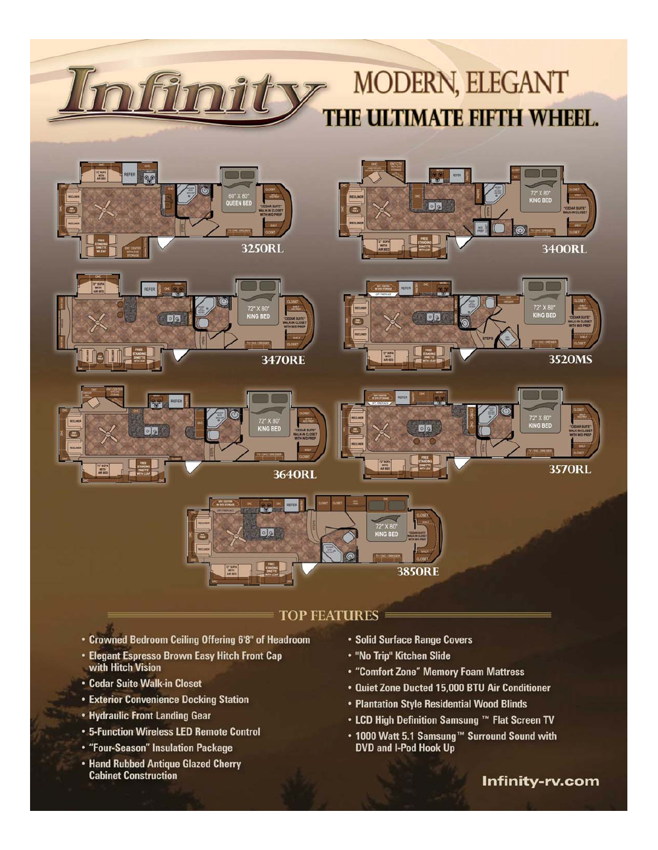# **MODERN, ELEGANT** THE ULTIMATE FIFTH WHEEL.













## **TOP FEATURES**

- Crowned Bedroom Ceiling Offering 6'8" of Headroom
- Elegant Espresso Brown Easy Hitch Front Cap with Hitch Vision
- Cedar Suite Walk-in Closet

僵

- **Exterior Convenience Docking Station**
- Hydraulic Front Landing Gear
- 5-Function Wireless LED Remote Control
- "Four-Season" Insulation Package
- Hand Rubbed Antique Glazed Cherry **Cabinet Construction**
- Solid Surface Range Covers
- "No Trip" Kitchen Slide
- "Comfort Zone" Memory Foam Mattress
- Quiet Zone Ducted 15,000 BTU Air Conditioner
- Plantation Style Residential Wood Blinds
- LCD High Definition Samsung TM Flat Screen TV
- 1000 Watt 5.1 Samsung<sup>™</sup> Surround Sound with DVD and I-Pod Hook Up

Infinity-rv.com